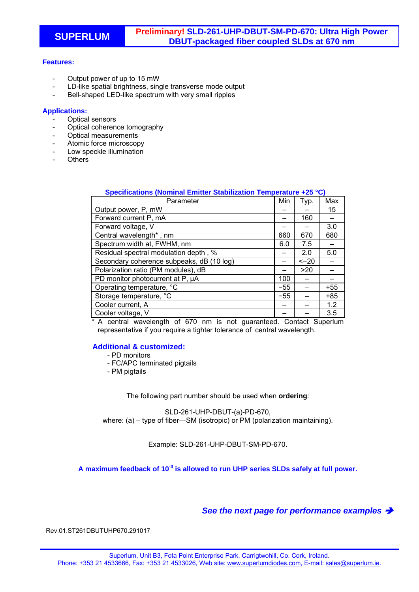## **Features:**

- Output power of up to 15 mW
- LD-like spatial brightness, single transverse mode output
- Bell-shaped LED-like spectrum with very small ripples

## **Applications:**

- Optical sensors
- Optical coherence tomography
- Optical measurements
- Atomic force microscopy
- Low speckle illumination
- **Others**

| Specifications (Nominal Emitter Stabilization Temperature +25 °C) |       |        |       |
|-------------------------------------------------------------------|-------|--------|-------|
| Parameter                                                         | Min   | Typ.   | Max   |
| Output power, P, mW                                               |       |        | 15    |
| Forward current P, mA                                             |       | 160    |       |
| Forward voltage, V                                                |       |        | 3.0   |
| Central wavelength*, nm                                           | 660   | 670    | 680   |
| Spectrum width at, FWHM, nm                                       | 6.0   | 7.5    |       |
| Residual spectral modulation depth, %                             |       | 2.0    | 5.0   |
| Secondary coherence subpeaks, dB (10 log)                         |       | $<-20$ |       |
| Polarization ratio (PM modules), dB                               |       | >20    |       |
| PD monitor photocurrent at P, µA                                  | 100   |        |       |
| Operating temperature, °C                                         | $-55$ |        | $+55$ |
| Storage temperature, °C                                           | $-55$ |        | +85   |
| Cooler current, A                                                 |       |        | 1.2   |
| Cooler voltage, V                                                 |       |        | 3.5   |

\* A central wavelength of 670 nm is not guaranteed. Contact Superlum representative if you require a tighter tolerance of central wavelength.

## **Additional & customized:**

- PD monitors
- FC/APC terminated pigtails
- PM pigtails

The following part number should be used when **ordering**:

SLD-261-UHP-DBUT-(a)-PD-670, where: (a) – type of fiber—SM (isotropic) or PM (polarization maintaining).

Example: SLD-261-UHP-DBUT-SM-PD-670.

**A maximum feedback of 10-3 is allowed to run UHP series SLDs safely at full power.** 

*See the next page for performance examples* 

Rev.01.ST261DBUTUHP670.291017